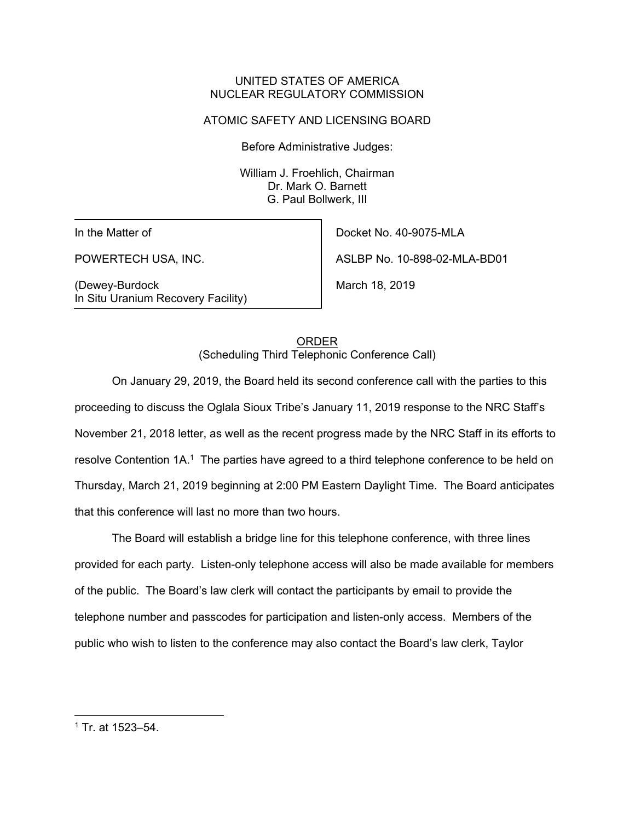#### UNITED STATES OF AMERICA NUCLEAR REGULATORY COMMISSION

## ATOMIC SAFETY AND LICENSING BOARD

Before Administrative Judges:

William J. Froehlich, Chairman Dr. Mark O. Barnett G. Paul Bollwerk, III

In the Matter of

POWERTECH USA, INC.

(Dewey-Burdock In Situ Uranium Recovery Facility)

Docket No. 40-9075-MLA ASLBP No. 10-898-02-MLA-BD01 March 18, 2019

ORDER (Scheduling Third Telephonic Conference Call)

On January 29, 2019, the Board held its second conference call with the parties to this proceeding to discuss the Oglala Sioux Tribe's January 11, 2019 response to the NRC Staff's November 21, 2018 letter, as well as the recent progress made by the NRC Staff in its efforts to resolve Contention 1A.<sup>1</sup> The parties have agreed to a third telephone conference to be held on Thursday, March 21, 2019 beginning at 2:00 PM Eastern Daylight Time. The Board anticipates that this conference will last no more than two hours.

The Board will establish a bridge line for this telephone conference, with three lines provided for each party. Listen-only telephone access will also be made available for members of the public. The Board's law clerk will contact the participants by email to provide the telephone number and passcodes for participation and listen-only access. Members of the public who wish to listen to the conference may also contact the Board's law clerk, Taylor

<sup>1</sup> Tr. at 1523–54.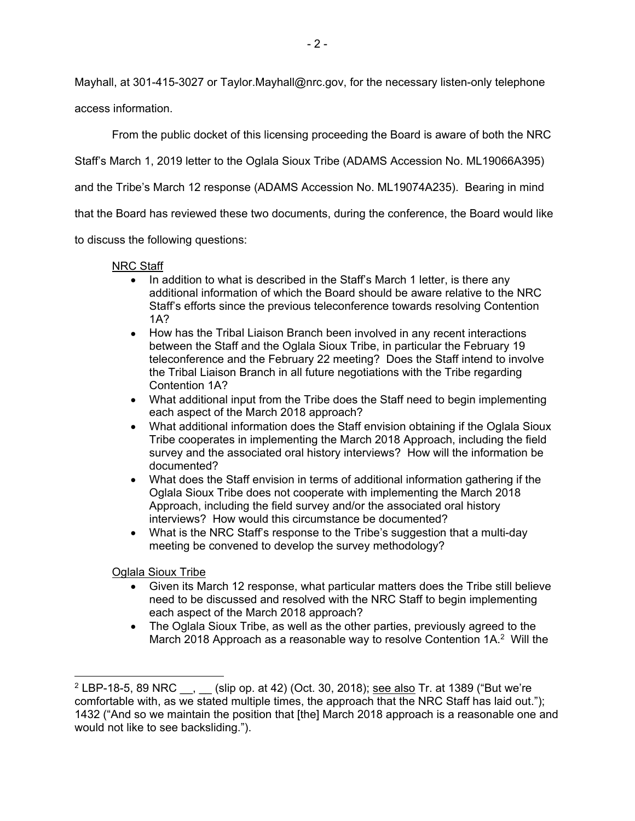Mayhall, at 301-415-3027 or Taylor.Mayhall@nrc.gov, for the necessary listen-only telephone

access information.

From the public docket of this licensing proceeding the Board is aware of both the NRC

Staff's March 1, 2019 letter to the Oglala Sioux Tribe (ADAMS Accession No. ML19066A395)

and the Tribe's March 12 response (ADAMS Accession No. ML19074A235). Bearing in mind

that the Board has reviewed these two documents, during the conference, the Board would like

to discuss the following questions:

# NRC Staff

- In addition to what is described in the Staff's March 1 letter, is there any additional information of which the Board should be aware relative to the NRC Staff's efforts since the previous teleconference towards resolving Contention 1A?
- How has the Tribal Liaison Branch been involved in any recent interactions between the Staff and the Oglala Sioux Tribe, in particular the February 19 teleconference and the February 22 meeting? Does the Staff intend to involve the Tribal Liaison Branch in all future negotiations with the Tribe regarding Contention 1A?
- What additional input from the Tribe does the Staff need to begin implementing each aspect of the March 2018 approach?
- What additional information does the Staff envision obtaining if the Oglala Sioux Tribe cooperates in implementing the March 2018 Approach, including the field survey and the associated oral history interviews? How will the information be documented?
- What does the Staff envision in terms of additional information gathering if the Oglala Sioux Tribe does not cooperate with implementing the March 2018 Approach, including the field survey and/or the associated oral history interviews? How would this circumstance be documented?
- What is the NRC Staff's response to the Tribe's suggestion that a multi-day meeting be convened to develop the survey methodology?

Oglala Sioux Tribe

- Given its March 12 response, what particular matters does the Tribe still believe need to be discussed and resolved with the NRC Staff to begin implementing each aspect of the March 2018 approach?
- The Oglala Sioux Tribe, as well as the other parties, previously agreed to the March 2018 Approach as a reasonable way to resolve Contention 1A.<sup>2</sup> Will the

<sup>&</sup>lt;sup>2</sup> LBP-18-5, 89 NRC <sub>...</sub> (slip op. at 42) (Oct. 30, 2018); <u>see also</u> Tr. at 1389 ("But we're comfortable with, as we stated multiple times, the approach that the NRC Staff has laid out."); 1432 ("And so we maintain the position that [the] March 2018 approach is a reasonable one and would not like to see backsliding.").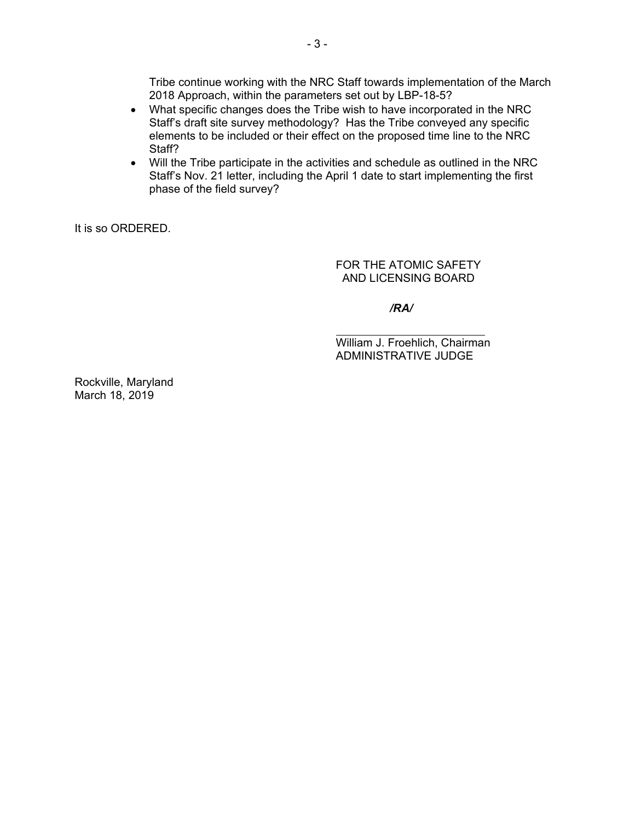Tribe continue working with the NRC Staff towards implementation of the March 2018 Approach, within the parameters set out by LBP-18-5?

- What specific changes does the Tribe wish to have incorporated in the NRC Staff's draft site survey methodology? Has the Tribe conveyed any specific elements to be included or their effect on the proposed time line to the NRC Staff?
- Will the Tribe participate in the activities and schedule as outlined in the NRC Staff's Nov. 21 letter, including the April 1 date to start implementing the first phase of the field survey?

It is so ORDERED.

FOR THE ATOMIC SAFETY AND LICENSING BOARD

*/RA/*

William J. Froehlich, Chairman ADMINISTRATIVE JUDGE

Rockville, Maryland March 18, 2019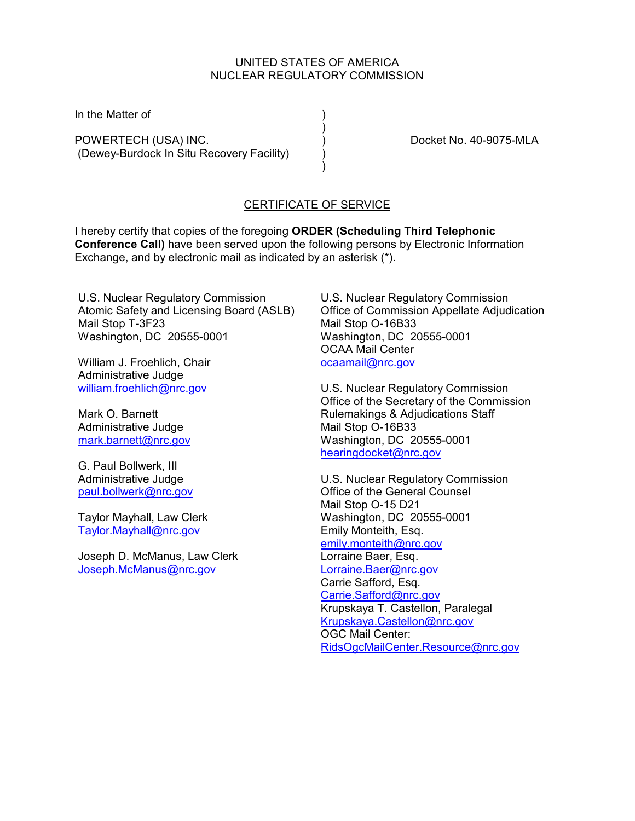#### UNITED STATES OF AMERICA NUCLEAR REGULATORY COMMISSION

 $\left( \begin{array}{c} \end{array} \right)$ 

In the Matter of (1)

POWERTECH (USA) INC.  $\overrightarrow{)}$  Docket No. 40-9075-MLA (Dewey-Burdock In Situ Recovery Facility) )

) and the contract of  $\mathcal{L}$ 

## CERTIFICATE OF SERVICE

I hereby certify that copies of the foregoing **ORDER (Scheduling Third Telephonic Conference Call)** have been served upon the following persons by Electronic Information Exchange, and by electronic mail as indicated by an asterisk (\*).

U.S. Nuclear Regulatory Commission Atomic Safety and Licensing Board (ASLB) Mail Stop T-3F23 Washington, DC 20555-0001

William J. Froehlich, Chair Administrative Judge [william.froehlich@nrc.gov](mailto:william.froehlich@nrc.gov) 

Mark O. Barnett Administrative Judge [mark.barnett@nrc.gov](mailto:mark.barnett@nrc.gov) 

G. Paul Bollwerk, III Administrative Judge [paul.bollwerk@nrc.gov](mailto:Paul.Bollwerk@nrc.gov)

Taylor Mayhall, Law Clerk [Taylor.Mayhall@nrc.gov](mailto:Taylor.Mayhall@nrc.gov)

Joseph D. McManus, Law Clerk [Joseph.McManus@nrc.gov](mailto:Joseph.McManus@nrc.gov)

U.S. Nuclear Regulatory Commission Office of Commission Appellate Adjudication Mail Stop O-16B33 Washington, DC 20555-0001 OCAA Mail Center [ocaamail@nrc.gov](mailto:ocaamail@nrc.gov)

U.S. Nuclear Regulatory Commission Office of the Secretary of the Commission Rulemakings & Adjudications Staff Mail Stop O-16B33 Washington, DC 20555-0001 [hearingdocket@nrc.gov](mailto:hearingdocket@nrc.gov)

U.S. Nuclear Regulatory Commission Office of the General Counsel Mail Stop O-15 D21 Washington, DC 20555-0001 Emily Monteith, Esq. [emily.monteith@nrc.gov](mailto:emily.monteith@nrc.gov) Lorraine Baer, Esq. [Lorraine.Baer@nrc.gov](mailto:Lorraine.Baer@nrc.gov) Carrie Safford, Esq. [Carrie.Safford@nrc.gov](mailto:Carrie.Safford@nrc.gov) Krupskaya T. Castellon, Paralegal [Krupskaya.Castellon@nrc.gov](mailto:Krupskaya.Castellon@nrc.gov) OGC Mail Center: [RidsOgcMailCenter.Resource@nrc.gov](mailto:RidsOgcMailCenter.Resource@nrc.gov)